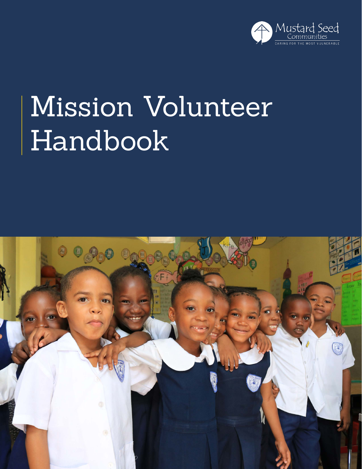

## Mission Volunteer Handbook

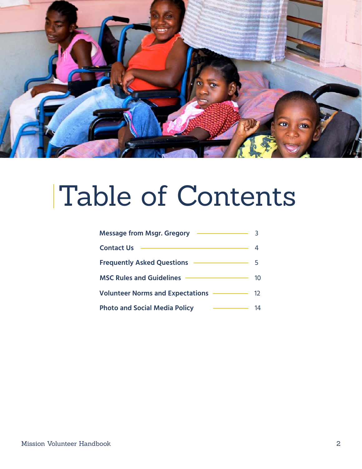

### Table of Contents

| <b>Message from Msgr. Gregory</b>       |    |
|-----------------------------------------|----|
| <b>Contact Us</b>                       |    |
| <b>Frequently Asked Questions</b>       | 5. |
| <b>MSC Rules and Guidelines</b>         | 10 |
| <b>Volunteer Norms and Expectations</b> | 12 |
| <b>Photo and Social Media Policy</b>    | 1Δ |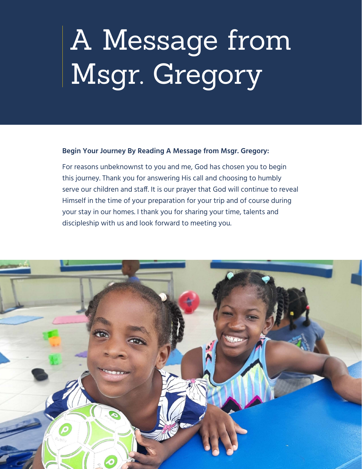# <span id="page-2-0"></span>A Message from Msgr. Gregory

### **Begin Your Journey By Reading A Message from Msgr. Gregory:**

For reasons unbeknownst to you and me, God has chosen you to begin this journey. Thank you for answering His call and choosing to humbly serve our children and staff. It is our prayer that God will continue to reveal Himself in the time of your preparation for your trip and of course during your stay in our homes. I thank you for sharing your time, talents and discipleship with us and look forward to meeting you.

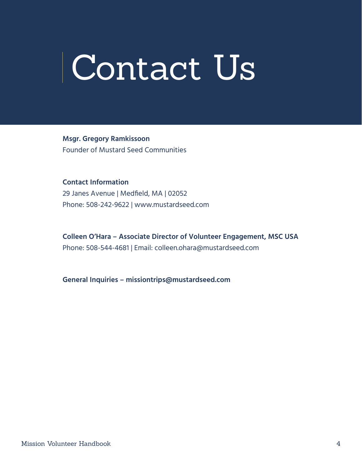# <span id="page-3-0"></span>Contact Us

**Msgr. Gregory Ramkissoon** Founder of Mustard Seed Communities

**Contact Information** 29 Janes Avenue | Medfield, MA | 02052 Phone: 508-242-9622 | www.mustardseed.com

**Colleen O'Hara – Associate Director of Volunteer Engagement, MSC USA** Phone: 508-544-4681 | Email: colleen.ohara@mustardseed.com

**General Inquiries – missiontrips@mustardseed.com**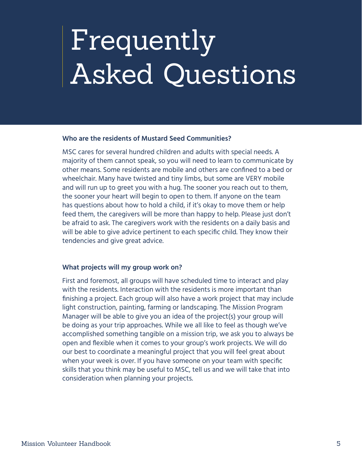## <span id="page-4-0"></span>Frequently Asked Questions

### **Who are the residents of Mustard Seed Communities?**

MSC cares for several hundred children and adults with special needs. A majority of them cannot speak, so you will need to learn to communicate by other means. Some residents are mobile and others are confined to a bed or wheelchair. Many have twisted and tiny limbs, but some are VERY mobile and will run up to greet you with a hug. The sooner you reach out to them, the sooner your heart will begin to open to them. If anyone on the team has questions about how to hold a child, if it's okay to move them or help feed them, the caregivers will be more than happy to help. Please just don't be afraid to ask. The caregivers work with the residents on a daily basis and will be able to give advice pertinent to each specific child. They know their tendencies and give great advice.

### **What projects will my group work on?**

First and foremost, all groups will have scheduled time to interact and play with the residents. Interaction with the residents is more important than finishing a project. Each group will also have a work project that may include light construction, painting, farming or landscaping. The Mission Program Manager will be able to give you an idea of the project(s) your group will be doing as your trip approaches. While we all like to feel as though we've accomplished something tangible on a mission trip, we ask you to always be open and flexible when it comes to your group's work projects. We will do our best to coordinate a meaningful project that you will feel great about when your week is over. If you have someone on your team with specific skills that you think may be useful to MSC, tell us and we will take that into consideration when planning your projects.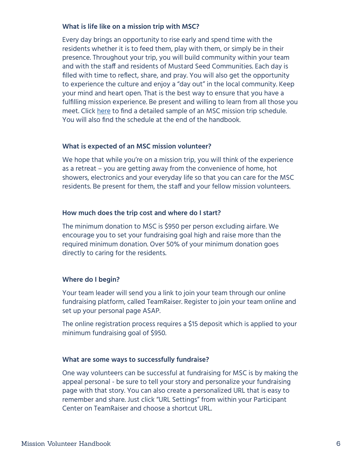### **What is life like on a mission trip with MSC?**

Every day brings an opportunity to rise early and spend time with the residents whether it is to feed them, play with them, or simply be in their presence. Throughout your trip, you will build community within your team and with the staff and residents of Mustard Seed Communities. Each day is filled with time to reflect, share, and pray. You will also get the opportunity to experience the culture and enjoy a "day out" in the local community. Keep your mind and heart open. That is the best way to ensure that you have a fulfilling mission experience. Be present and willing to learn from all those you meet. Click [here](https://drive.google.com/file/d/1uqe0sNJUE3DWoYarwU1k2jyjhOFmvhJ9/view?usp=sharing) to find a detailed sample of an MSC mission trip schedule. You will also find the schedule at the end of the handbook.

### **What is expected of an MSC mission volunteer?**

We hope that while you're on a mission trip, you will think of the experience as a retreat – you are getting away from the convenience of home, hot showers, electronics and your everyday life so that you can care for the MSC residents. Be present for them, the staff and your fellow mission volunteers.

### **How much does the trip cost and where do I start?**

The minimum donation to MSC is \$950 per person excluding airfare. We encourage you to set your fundraising goal high and raise more than the required minimum donation. Over 50% of your minimum donation goes directly to caring for the residents.

### **Where do I begin?**

Your team leader will send you a link to join your team through our online fundraising platform, called TeamRaiser. Register to join your team online and set up your personal page ASAP.

The online registration process requires a \$15 deposit which is applied to your minimum fundraising goal of \$950.

### **What are some ways to successfully fundraise?**

One way volunteers can be successful at fundraising for MSC is by making the appeal personal - be sure to tell your story and personalize your fundraising page with that story. You can also create a personalized URL that is easy to remember and share. Just click "URL Settings" from within your Participant Center on TeamRaiser and choose a shortcut URL.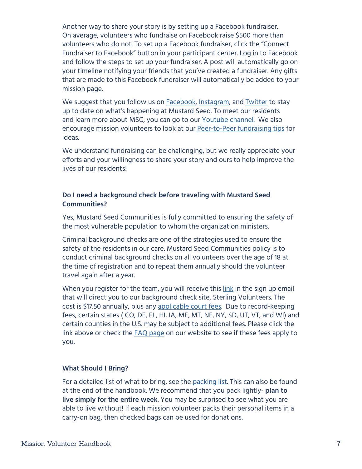Another way to share your story is by setting up a Facebook fundraiser. On average, volunteers who fundraise on Facebook raise \$500 more than volunteers who do not. To set up a Facebook fundraiser, click the "Connect Fundraiser to Facebook" button in your participant center. Log in to Facebook and follow the steps to set up your fundraiser. A post will automatically go on your timeline notifying your friends that you've created a fundraiser. Any gifts that are made to this Facebook fundraiser will automatically be added to your mission page.

We suggest that you follow us on [Facebook,](https://www.facebook.com/MustardSeedCommunities) [Instagram](https://instagram.com/mustardseedcommunities/), and [Twitter](https://twitter.com/MustardSeedComm) to stay up to date on what's happening at Mustard Seed. To meet our residents and learn more about MSC, you can go to our [Youtube channel.](https://www.youtube.com/channel/UCzrMnV3mm6XRkomRC2LI5Dw) We also encourage mission volunteers to look at our [Peer-to-Peer fundraising tips](https://www.mustardseed.com/blog/peer-peer-fundraising) for ideas.

We understand fundraising can be challenging, but we really appreciate your efforts and your willingness to share your story and ours to help improve the lives of our residents!

### **Do I need a background check before traveling with Mustard Seed Communities?**

Yes, Mustard Seed Communities is fully committed to ensuring the safety of the most vulnerable population to whom the organization ministers.

Criminal background checks are one of the strategies used to ensure the safety of the residents in our care. Mustard Seed Communities policy is to conduct criminal background checks on all volunteers over the age of 18 at the time of registration and to repeat them annually should the volunteer travel again after a year.

When you register for the team, you will receive this [link](https://app.sterlingvolunteers.com/promoorder/c416bfff-66e8-49ae-81cf-77371c4563ec) in the sign up email that will direct you to our background check site, Sterling Volunteers. The cost is \$17.50 annually, plus any [applicable court fees](https://www.mustardseed.com/sites/default/files/SV_JurisFees_CountyState.pdf). Due to record-keeping fees, certain states ( CO, DE, FL, HI, IA, ME, MT, NE, NY, SD, UT, VT, and WI) and certain counties in the U.S. may be subject to additional fees. Please click the link above or check the [FAQ page](https://www.mustardseed.com/mission-trips/frequently-asked-questions) on our website to see if these fees apply to you.

### **What Should I Bring?**

For a detailed list of what to bring, see the [packing list](https://drive.google.com/file/d/1Ay6AzaPW6m9MvZxSWVwUlAF56YQaaxOY/view?usp=sharing). This can also be found at the end of the handbook. We recommend that you pack lightly- **plan to live simply for the entire week**. You may be surprised to see what you are able to live without! If each mission volunteer packs their personal items in a carry-on bag, then checked bags can be used for donations.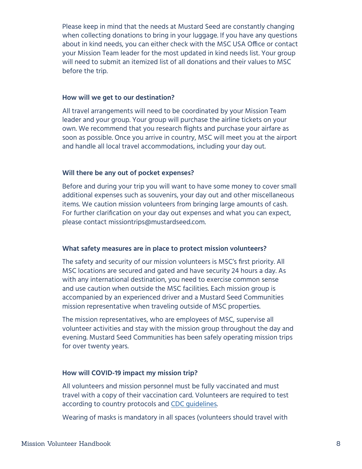Please keep in mind that the needs at Mustard Seed are constantly changing when collecting donations to bring in your luggage. If you have any questions about in kind needs, you can either check with the MSC USA Office or contact your Mission Team leader for the most updated in kind needs list. Your group will need to submit an itemized list of all donations and their values to MSC before the trip.

### **How will we get to our destination?**

All travel arrangements will need to be coordinated by your Mission Team leader and your group. Your group will purchase the airline tickets on your own. We recommend that you research flights and purchase your airfare as soon as possible. Once you arrive in country, MSC will meet you at the airport and handle all local travel accommodations, including your day out.

### **Will there be any out of pocket expenses?**

Before and during your trip you will want to have some money to cover small additional expenses such as souvenirs, your day out and other miscellaneous items. We caution mission volunteers from bringing large amounts of cash. For further clarification on your day out expenses and what you can expect, please contact missiontrips@mustardseed.com.

### **What safety measures are in place to protect mission volunteers?**

The safety and security of our mission volunteers is MSC's first priority. All MSC locations are secured and gated and have security 24 hours a day. As with any international destination, you need to exercise common sense and use caution when outside the MSC facilities. Each mission group is accompanied by an experienced driver and a Mustard Seed Communities mission representative when traveling outside of MSC properties.

The mission representatives, who are employees of MSC, supervise all volunteer activities and stay with the mission group throughout the day and evening. Mustard Seed Communities has been safely operating mission trips for over twenty years.

### **How will COVID-19 impact my mission trip?**

All volunteers and mission personnel must be fully vaccinated and must travel with a copy of their vaccination card. Volunteers are required to test according to country protocols and [CDC guidelines.](https://www.cdc.gov/coronavirus/2019-ncov/travelers/international-travel-during-covid19.html)

Wearing of masks is mandatory in all spaces (volunteers should travel with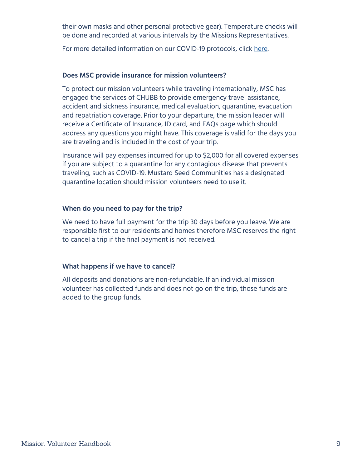their own masks and other personal protective gear). Temperature checks will be done and recorded at various intervals by the Missions Representatives.

For more detailed information on our COVID-19 protocols, click [here.](https://docs.google.com/document/d/1IhzaYnnhIt9XZmr_WkbZCCqWj0_19qs4/edit?usp=sharing&ouid=104853913039431522010&rtpof=true&sd=true)

### **Does MSC provide insurance for mission volunteers?**

To protect our mission volunteers while traveling internationally, MSC has engaged the services of CHUBB to provide emergency travel assistance, accident and sickness insurance, medical evaluation, quarantine, evacuation and repatriation coverage. Prior to your departure, the mission leader will receive a Certificate of Insurance, ID card, and FAQs page which should address any questions you might have. This coverage is valid for the days you are traveling and is included in the cost of your trip.

Insurance will pay expenses incurred for up to \$2,000 for all covered expenses if you are subject to a quarantine for any contagious disease that prevents traveling, such as COVID-19. Mustard Seed Communities has a designated quarantine location should mission volunteers need to use it.

### **When do you need to pay for the trip?**

We need to have full payment for the trip 30 days before you leave. We are responsible first to our residents and homes therefore MSC reserves the right to cancel a trip if the final payment is not received.

### **What happens if we have to cancel?**

All deposits and donations are non-refundable. If an individual mission volunteer has collected funds and does not go on the trip, those funds are added to the group funds.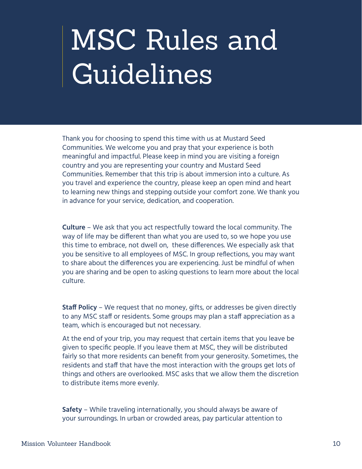## <span id="page-9-0"></span>MSC Rules and Guidelines

Thank you for choosing to spend this time with us at Mustard Seed Communities. We welcome you and pray that your experience is both meaningful and impactful. Please keep in mind you are visiting a foreign country and you are representing your country and Mustard Seed Communities. Remember that this trip is about immersion into a culture. As you travel and experience the country, please keep an open mind and heart to learning new things and stepping outside your comfort zone. We thank you in advance for your service, dedication, and cooperation.

**Culture** – We ask that you act respectfully toward the local community. The way of life may be different than what you are used to, so we hope you use this time to embrace, not dwell on, these differences. We especially ask that you be sensitive to all employees of MSC. In group reflections, you may want to share about the differences you are experiencing. Just be mindful of when you are sharing and be open to asking questions to learn more about the local culture.

**Staff Policy** – We request that no money, gifts, or addresses be given directly to any MSC staff or residents. Some groups may plan a staff appreciation as a team, which is encouraged but not necessary.

At the end of your trip, you may request that certain items that you leave be given to specific people. If you leave them at MSC, they will be distributed fairly so that more residents can benefit from your generosity. Sometimes, the residents and staff that have the most interaction with the groups get lots of things and others are overlooked. MSC asks that we allow them the discretion to distribute items more evenly.

**Safety** – While traveling internationally, you should always be aware of your surroundings. In urban or crowded areas, pay particular attention to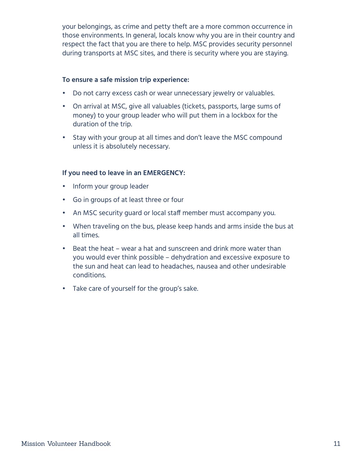your belongings, as crime and petty theft are a more common occurrence in those environments. In general, locals know why you are in their country and respect the fact that you are there to help. MSC provides security personnel during transports at MSC sites, and there is security where you are staying.

### **To ensure a safe mission trip experience:**

- Do not carry excess cash or wear unnecessary jewelry or valuables.
- On arrival at MSC, give all valuables (tickets, passports, large sums of money) to your group leader who will put them in a lockbox for the duration of the trip.
- Stay with your group at all times and don't leave the MSC compound unless it is absolutely necessary.

### **If you need to leave in an EMERGENCY:**

- Inform your group leader
- Go in groups of at least three or four
- An MSC security guard or local staff member must accompany you.
- When traveling on the bus, please keep hands and arms inside the bus at all times.
- Beat the heat wear a hat and sunscreen and drink more water than you would ever think possible – dehydration and excessive exposure to the sun and heat can lead to headaches, nausea and other undesirable conditions.
- Take care of yourself for the group's sake.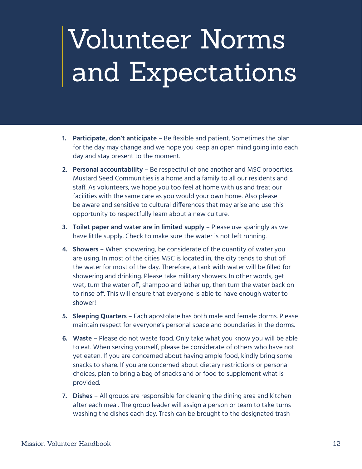# <span id="page-11-0"></span>Volunteer Norms and Expectations

- **1. Participate, don't anticipate** Be flexible and patient. Sometimes the plan for the day may change and we hope you keep an open mind going into each day and stay present to the moment.
- **2. Personal accountability** Be respectful of one another and MSC properties. Mustard Seed Communities is a home and a family to all our residents and staff. As volunteers, we hope you too feel at home with us and treat our facilities with the same care as you would your own home. Also please be aware and sensitive to cultural differences that may arise and use this opportunity to respectfully learn about a new culture.
- **3. Toilet paper and water are in limited supply** Please use sparingly as we have little supply. Check to make sure the water is not left running.
- **4. Showers**  When showering, be considerate of the quantity of water you are using. In most of the cities MSC is located in, the city tends to shut off the water for most of the day. Therefore, a tank with water will be filled for showering and drinking. Please take military showers. In other words, get wet, turn the water off, shampoo and lather up, then turn the water back on to rinse off. This will ensure that everyone is able to have enough water to shower!
- **5. Sleeping Quarters** Each apostolate has both male and female dorms. Please maintain respect for everyone's personal space and boundaries in the dorms.
- **6. Waste** Please do not waste food. Only take what you know you will be able to eat. When serving yourself, please be considerate of others who have not yet eaten. If you are concerned about having ample food, kindly bring some snacks to share. If you are concerned about dietary restrictions or personal choices, plan to bring a bag of snacks and or food to supplement what is provided.
- **7. Dishes**  All groups are responsible for cleaning the dining area and kitchen after each meal. The group leader will assign a person or team to take turns washing the dishes each day. Trash can be brought to the designated trash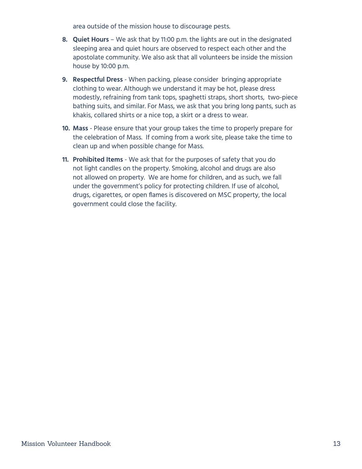area outside of the mission house to discourage pests.

- **8. Quiet Hours** We ask that by 11:00 p.m. the lights are out in the designated sleeping area and quiet hours are observed to respect each other and the apostolate community. We also ask that all volunteers be inside the mission house by 10:00 p.m.
- **9. Respectful Dress** When packing, please consider bringing appropriate clothing to wear. Although we understand it may be hot, please dress modestly, refraining from tank tops, spaghetti straps, short shorts, two-piece bathing suits, and similar. For Mass, we ask that you bring long pants, such as khakis, collared shirts or a nice top, a skirt or a dress to wear.
- **10. Mass** Please ensure that your group takes the time to properly prepare for the celebration of Mass. If coming from a work site, please take the time to clean up and when possible change for Mass.
- **11. Prohibited Items** We ask that for the purposes of safety that you do not light candles on the property. Smoking, alcohol and drugs are also not allowed on property. We are home for children, and as such, we fall under the government's policy for protecting children. If use of alcohol, drugs, cigarettes, or open flames is discovered on MSC property, the local government could close the facility.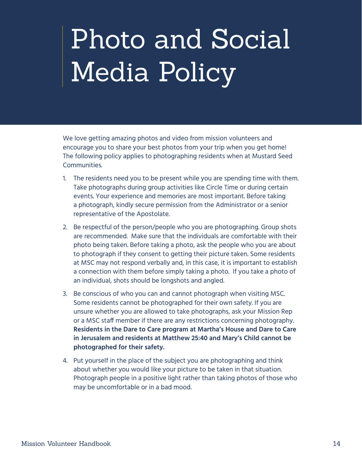### <span id="page-13-0"></span>Photo and Social Media Policy

We love getting amazing photos and video from mission volunteers and encourage you to share your best photos from your trip when you get home! The following policy applies to photographing residents when at Mustard Seed Communities.

- 1. The residents need you to be present while you are spending time with them. Take photographs during group activities like Circle Time or during certain events. Your experience and memories are most important. Before taking a photograph, kindly secure permission from the Administrator or a senior representative of the Apostolate.
- 2. Be respectful of the person/people who you are photographing. Group shots are recommended. Make sure that the individuals are comfortable with their photo being taken. Before taking a photo, ask the people who you are about to photograph if they consent to getting their picture taken. Some residents at MSC may not respond verbally and, in this case, it is important to establish a connection with them before simply taking a photo. If you take a photo of an individual, shots should be longshots and angled.
- 3. Be conscious of who you can and cannot photograph when visiting MSC. Some residents cannot be photographed for their own safety. If you are unsure whether you are allowed to take photographs, ask your Mission Rep or a MSC staff member if there are any restrictions concerning photography. **Residents in the Dare to Care program at Martha's House and Dare to Care in Jerusalem and residents at Matthew 25:40 and Mary's Child cannot be photographed for their safety.**
- 4. Put yourself in the place of the subject you are photographing and think about whether you would like your picture to be taken in that situation. Photograph people in a positive light rather than taking photos of those who may be uncomfortable or in a bad mood.